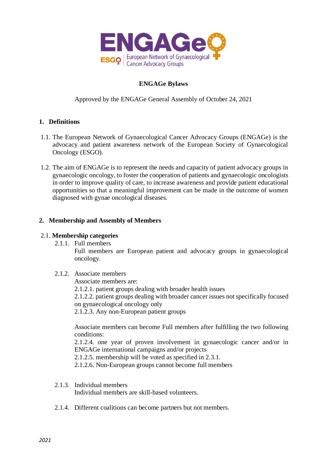

# **ENGAGe Bylaws**

Approved by the ENGAGe General Assembly of October 24, 2021

# **1. Definitions**

- 1.1. The European Network of Gynaecological Cancer Advocacy Groups (ENGAGe) is the advocacy and patient awareness network of the European Society of Gynaecological Oncology (ESGO).
- 1.2. The aim of ENGAGe is to represent the needs and capacity of patient advocacy groups in gynaecologic oncology, to foster the cooperation of patients and gynaecologic oncologists in order to improve quality of care, to increase awareness and provide patient educational opportunities so that a meaningful improvement can be made in the outcome of women diagnosed with gynae oncological diseases.

### **2. Membership and Assembly of Members**

#### 2.1. **Membership categories**

2.1.1. Full members

Full members are European patient and advocacy groups in gynaecological oncology.

2.1.2. Associate members

Associate members are:

2.1.2.1. patient groups dealing with broader health issues

2.1.2.2. patient groups dealing with broader cancer issues not specifically focused on gynaecological oncology only

2.1.2.3. Any non-European patient groups

Associate members can become Full members after fulfilling the two following conditions:

2.1.2.4. one year of proven involvement in gynaecologic cancer and/or in ENGAGe international campaigns and/or projects

2.1.2.5. membership will be voted as specified in 2.3.1.

2.1.2.6. Non-European groups cannot become full members

2.1.3. Individual members

Individual members are skill-based volunteers.

2.1.4. Different coalitions can become partners but not members.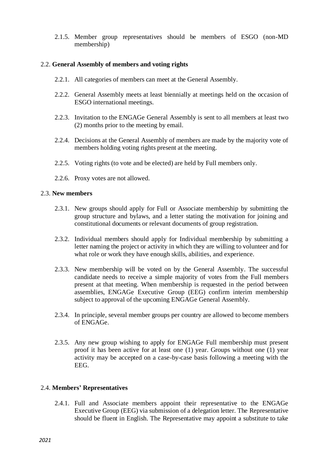2.1.5. Member group representatives should be members of ESGO (non-MD membership)

#### 2.2. **General Assembly of members and voting rights**

- 2.2.1. All categories of members can meet at the General Assembly.
- 2.2.2. General Assembly meets at least biennially at meetings held on the occasion of ESGO international meetings.
- 2.2.3. Invitation to the ENGAGe General Assembly is sent to all members at least two (2) months prior to the meeting by email.
- 2.2.4. Decisions at the General Assembly of members are made by the majority vote of members holding voting rights present at the meeting.
- 2.2.5. Voting rights (to vote and be elected) are held by Full members only.
- 2.2.6. Proxy votes are not allowed.

#### 2.3. **New members**

- 2.3.1. New groups should apply for Full or Associate membership by submitting the group structure and bylaws, and a letter stating the motivation for joining and constitutional documents or relevant documents of group registration.
- 2.3.2. Individual members should apply for Individual membership by submitting a letter naming the project or activity in which they are willing to volunteer and for what role or work they have enough skills, abilities, and experience.
- 2.3.3. New membership will be voted on by the General Assembly. The successful candidate needs to receive a simple majority of votes from the Full members present at that meeting. When membership is requested in the period between assemblies, ENGAGe Executive Group (EEG) confirm interim membership subject to approval of the upcoming ENGAGe General Assembly.
- 2.3.4. In principle, several member groups per country are allowed to become members of ENGAGe.
- 2.3.5. Any new group wishing to apply for ENGAGe Full membership must present proof it has been active for at least one (1) year. Groups without one (1) year activity may be accepted on a case-by-case basis following a meeting with the EEG.

## 2.4. **Members' Representatives**

2.4.1. Full and Associate members appoint their representative to the ENGAGe Executive Group (EEG) via submission of a delegation letter. The Representative should be fluent in English. The Representative may appoint a substitute to take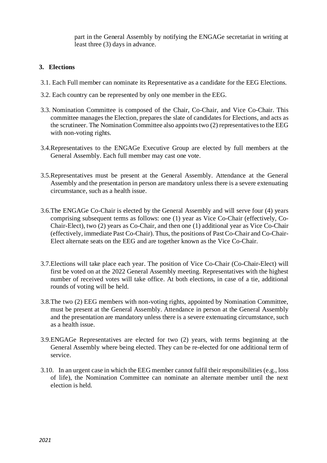part in the General Assembly by notifying the ENGAGe secretariat in writing at least three (3) days in advance.

## **3. Elections**

- 3.1. Each Full member can nominate its Representative as a candidate for the EEG Elections.
- 3.2. Each country can be represented by only one member in the EEG.
- 3.3. Nomination Committee is composed of the Chair, Co-Chair, and Vice Co-Chair. This committee manages the Election, prepares the slate of candidates for Elections, and acts as the scrutineer. The Nomination Committee also appoints two (2) representatives to the EEG with non-voting rights.
- 3.4.Representatives to the ENGAGe Executive Group are elected by full members at the General Assembly. Each full member may cast one vote.
- 3.5.Representatives must be present at the General Assembly. Attendance at the General Assembly and the presentation in person are mandatory unless there is a severe extenuating circumstance, such as a health issue.
- 3.6.The ENGAGe Co-Chair is elected by the General Assembly and will serve four (4) years comprising subsequent terms as follows: one (1) year as Vice Co-Chair (effectively, Co-Chair-Elect), two (2) years as Co-Chair, and then one (1) additional year as Vice Co-Chair (effectively, immediate Past Co-Chair). Thus, the positions of Past Co-Chair and Co-Chair-Elect alternate seats on the EEG and are together known as the Vice Co-Chair.
- 3.7.Elections will take place each year. The position of Vice Co-Chair (Co-Chair-Elect) will first be voted on at the 2022 General Assembly meeting. Representatives with the highest number of received votes will take office. At both elections, in case of a tie, additional rounds of voting will be held.
- 3.8.The two (2) EEG members with non-voting rights, appointed by Nomination Committee, must be present at the General Assembly. Attendance in person at the General Assembly and the presentation are mandatory unless there is a severe extenuating circumstance, such as a health issue.
- 3.9.ENGAGe Representatives are elected for two (2) years, with terms beginning at the General Assembly where being elected. They can be re-elected for one additional term of service.
- 3.10. In an urgent case in which the EEG member cannot fulfil their responsibilities (e.g., loss of life), the Nomination Committee can nominate an alternate member until the next election is held.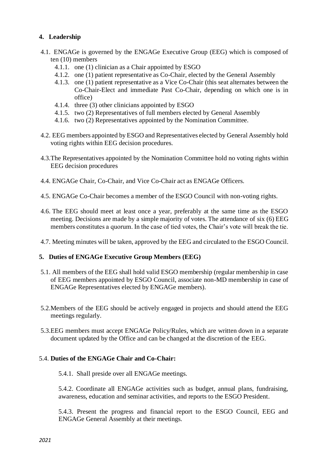# **4. Leadership**

- 4.1. ENGAGe is governed by the ENGAGe Executive Group (EEG) which is composed of ten (10) members
	- 4.1.1. one (1) clinician as a Chair appointed by ESGO
	- 4.1.2. one (1) patient representative as Co-Chair, elected by the General Assembly
	- 4.1.3. one (1) patient representative as a Vice Co-Chair (this seat alternates between the Co-Chair-Elect and immediate Past Co-Chair, depending on which one is in office)
	- 4.1.4. three (3) other clinicians appointed by ESGO
	- 4.1.5. two (2) Representatives of full members elected by General Assembly
	- 4.1.6. two (2) Representatives appointed by the Nomination Committee.
- 4.2. EEG members appointed by ESGO and Representatives elected by General Assembly hold voting rights within EEG decision procedures.
- 4.3.The Representatives appointed by the Nomination Committee hold no voting rights within EEG decision procedures
- 4.4. ENGAGe Chair, Co-Chair, and Vice Co-Chair act as ENGAGe Officers.
- 4.5. ENGAGe Co-Chair becomes a member of the ESGO Council with non-voting rights.
- 4.6. The EEG should meet at least once a year, preferably at the same time as the ESGO meeting. Decisions are made by a simple majority of votes. The attendance of six (6) EEG members constitutes a quorum. In the case of tied votes, the Chair's vote will break the tie.
- 4.7. Meeting minutes will be taken, approved by the EEG and circulated to the ESGO Council.

## **5. Duties of ENGAGe Executive Group Members (EEG)**

- 5.1. All members of the EEG shall hold valid ESGO membership (regular membership in case of EEG members appointed by ESGO Council, associate non-MD membership in case of ENGAGe Representatives elected by ENGAGe members).
- 5.2.Members of the EEG should be actively engaged in projects and should attend the EEG meetings regularly.
- 5.3.EEG members must accept ENGAGe Policy/Rules, which are written down in a separate document updated by the Office and can be changed at the discretion of the EEG.

## 5.4. **Duties of the ENGAGe Chair and Co-Chair:**

5.4.1. Shall preside over all ENGAGe meetings.

5.4.2. Coordinate all ENGAGe activities such as budget, annual plans, fundraising, awareness, education and seminar activities, and reports to the ESGO President.

5.4.3. Present the progress and financial report to the ESGO Council, EEG and ENGAGe General Assembly at their meetings.